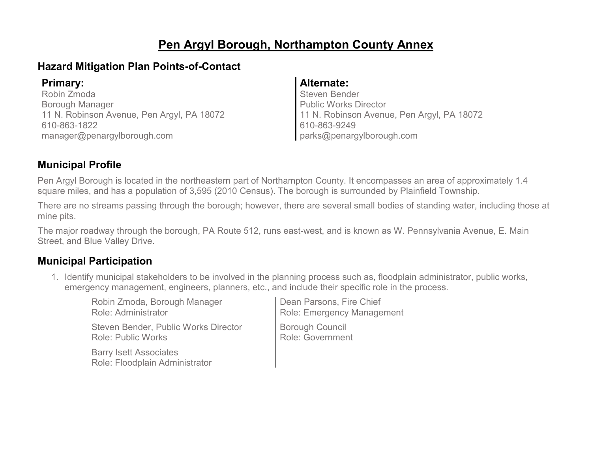# **Pen Argyl Borough, Northampton County Annex**

### **Hazard Mitigation Plan Points-of-Contact**

Robin Zmoda Borough Manager 11 N. Robinson Avenue, Pen Argyl, PA 18072 610-863-1822 manager@penargylborough.com

### **Primary: Alternate:**

Steven Bender Public Works Director 11 N. Robinson Avenue, Pen Argyl, PA 18072 610-863-9249 parks@penargylborough.com

### **Municipal Profile**

Pen Argyl Borough is located in the northeastern part of Northampton County. It encompasses an area of approximately 1.4 square miles, and has a population of 3,595 (2010 Census). The borough is surrounded by Plainfield Township.

There are no streams passing through the borough; however, there are several small bodies of standing water, including those at mine pits.

The major roadway through the borough, PA Route 512, runs east-west, and is known as W. Pennsylvania Avenue, E. Main Street, and Blue Valley Drive.

### **Municipal Participation**

1. Identify municipal stakeholders to be involved in the planning process such as, floodplain administrator, public works, emergency management, engineers, planners, etc., and include their specific role in the process.

| Robin Zmoda, Borough Manager                                    | Dean Parsons, Fire Chief   |
|-----------------------------------------------------------------|----------------------------|
| Role: Administrator                                             | Role: Emergency Management |
| Steven Bender, Public Works Director                            | <b>Borough Council</b>     |
| <b>Role: Public Works</b>                                       | Role: Government           |
| <b>Barry Isett Associates</b><br>Role: Floodplain Administrator |                            |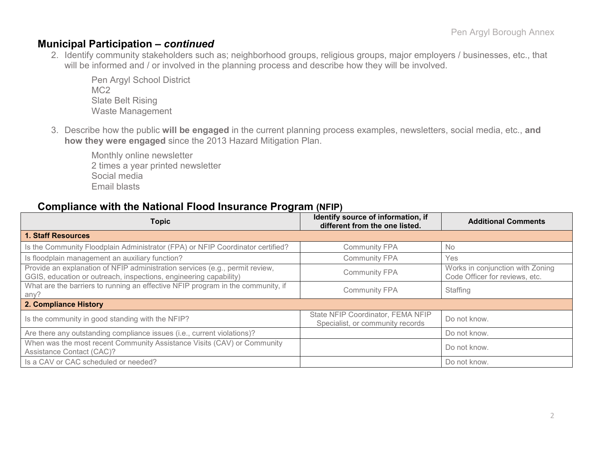### **Municipal Participation –** *continued*

2. Identify community stakeholders such as; neighborhood groups, religious groups, major employers / businesses, etc., that will be informed and / or involved in the planning process and describe how they will be involved.

Pen Argyl School District MC2 Slate Belt Rising Waste Management

3. Describe how the public **will be engaged** in the current planning process examples, newsletters, social media, etc., **and how they were engaged** since the 2013 Hazard Mitigation Plan.

Monthly online newsletter 2 times a year printed newsletter Social media Email blasts

#### **Compliance with the National Flood Insurance Program (NFIP)**

| <b>Topic</b>                                                                                                                                      | Identify source of information, if<br>different from the one listed.  | <b>Additional Comments</b>                                         |
|---------------------------------------------------------------------------------------------------------------------------------------------------|-----------------------------------------------------------------------|--------------------------------------------------------------------|
| <b>1. Staff Resources</b>                                                                                                                         |                                                                       |                                                                    |
| Is the Community Floodplain Administrator (FPA) or NFIP Coordinator certified?                                                                    | <b>Community FPA</b>                                                  | No                                                                 |
| Is floodplain management an auxiliary function?                                                                                                   | <b>Community FPA</b>                                                  | Yes                                                                |
| Provide an explanation of NFIP administration services (e.g., permit review,<br>GGIS, education or outreach, inspections, engineering capability) | <b>Community FPA</b>                                                  | Works in conjunction with Zoning<br>Code Officer for reviews, etc. |
| What are the barriers to running an effective NFIP program in the community, if<br>any?                                                           | <b>Community FPA</b>                                                  | Staffing                                                           |
| 2. Compliance History                                                                                                                             |                                                                       |                                                                    |
| Is the community in good standing with the NFIP?                                                                                                  | State NFIP Coordinator, FEMA NFIP<br>Specialist, or community records | Do not know.                                                       |
| Are there any outstanding compliance issues (i.e., current violations)?                                                                           |                                                                       | Do not know.                                                       |
| When was the most recent Community Assistance Visits (CAV) or Community<br>Assistance Contact (CAC)?                                              |                                                                       | Do not know.                                                       |
| Is a CAV or CAC scheduled or needed?                                                                                                              |                                                                       | Do not know.                                                       |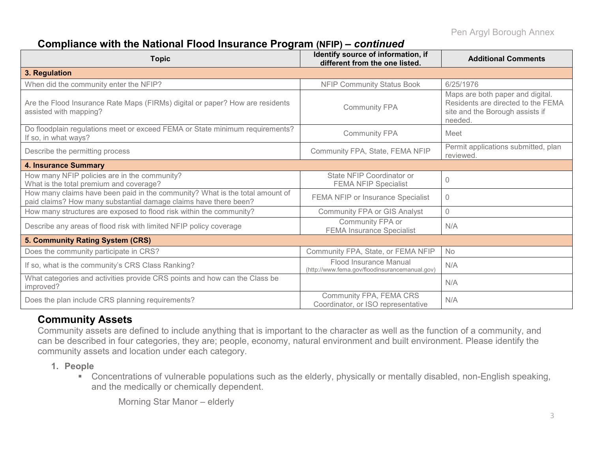# **Compliance with the National Flood Insurance Program (NFIP) –** *continued*

| <b>Topic</b>                                                                                                                                     | Identify source of information, if<br>different from the one listed.     | <b>Additional Comments</b>                                                                                           |
|--------------------------------------------------------------------------------------------------------------------------------------------------|--------------------------------------------------------------------------|----------------------------------------------------------------------------------------------------------------------|
| 3. Regulation                                                                                                                                    |                                                                          |                                                                                                                      |
| When did the community enter the NFIP?                                                                                                           | <b>NFIP Community Status Book</b>                                        | 6/25/1976                                                                                                            |
| Are the Flood Insurance Rate Maps (FIRMs) digital or paper? How are residents<br>assisted with mapping?                                          | <b>Community FPA</b>                                                     | Maps are both paper and digital.<br>Residents are directed to the FEMA<br>site and the Borough assists if<br>needed. |
| Do floodplain regulations meet or exceed FEMA or State minimum requirements?<br>If so, in what ways?                                             | <b>Community FPA</b>                                                     | Meet                                                                                                                 |
| Describe the permitting process                                                                                                                  | Community FPA, State, FEMA NFIP                                          | Permit applications submitted, plan<br>reviewed.                                                                     |
| <b>4. Insurance Summary</b>                                                                                                                      |                                                                          |                                                                                                                      |
| How many NFIP policies are in the community?<br>What is the total premium and coverage?                                                          | State NFIP Coordinator or<br><b>FEMA NFIP Specialist</b>                 | $\Omega$                                                                                                             |
| How many claims have been paid in the community? What is the total amount of<br>paid claims? How many substantial damage claims have there been? | FEMA NFIP or Insurance Specialist                                        | $\Omega$                                                                                                             |
| How many structures are exposed to flood risk within the community?                                                                              | Community FPA or GIS Analyst                                             | $\overline{0}$                                                                                                       |
| Describe any areas of flood risk with limited NFIP policy coverage                                                                               | Community FPA or<br><b>FEMA Insurance Specialist</b>                     | N/A                                                                                                                  |
| 5. Community Rating System (CRS)                                                                                                                 |                                                                          |                                                                                                                      |
| Does the community participate in CRS?                                                                                                           | Community FPA, State, or FEMA NFIP                                       | <b>No</b>                                                                                                            |
| If so, what is the community's CRS Class Ranking?                                                                                                | Flood Insurance Manual<br>(http://www.fema.gov/floodinsurancemanual.gov) | N/A                                                                                                                  |
| What categories and activities provide CRS points and how can the Class be<br>improved?                                                          |                                                                          | N/A                                                                                                                  |
| Does the plan include CRS planning requirements?                                                                                                 | Community FPA, FEMA CRS<br>Coordinator, or ISO representative            | N/A                                                                                                                  |

### **Community Assets**

Community assets are defined to include anything that is important to the character as well as the function of a community, and can be described in four categories, they are; people, economy, natural environment and built environment. Please identify the community assets and location under each category.

- **1. People**
	- Concentrations of vulnerable populations such as the elderly, physically or mentally disabled, non-English speaking, and the medically or chemically dependent.

Morning Star Manor – elderly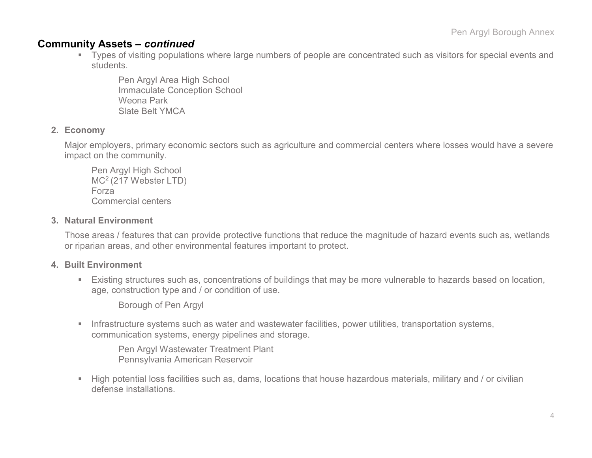#### **Community Assets –** *continued*

 Types of visiting populations where large numbers of people are concentrated such as visitors for special events and students.

Pen Argyl Area High School Immaculate Conception School Weona Park Slate Belt YMCA

#### **2. Economy**

Major employers, primary economic sectors such as agriculture and commercial centers where losses would have a severe impact on the community.

Pen Argyl High School MC2 (217 Webster LTD) Forza Commercial centers

#### **3. Natural Environment**

Those areas / features that can provide protective functions that reduce the magnitude of hazard events such as, wetlands or riparian areas, and other environmental features important to protect.

#### **4. Built Environment**

 Existing structures such as, concentrations of buildings that may be more vulnerable to hazards based on location, age, construction type and / or condition of use.

Borough of Pen Argyl

**Infrastructure systems such as water and wastewater facilities, power utilities, transportation systems,** communication systems, energy pipelines and storage.

Pen Argyl Wastewater Treatment Plant Pennsylvania American Reservoir

 High potential loss facilities such as, dams, locations that house hazardous materials, military and / or civilian defense installations.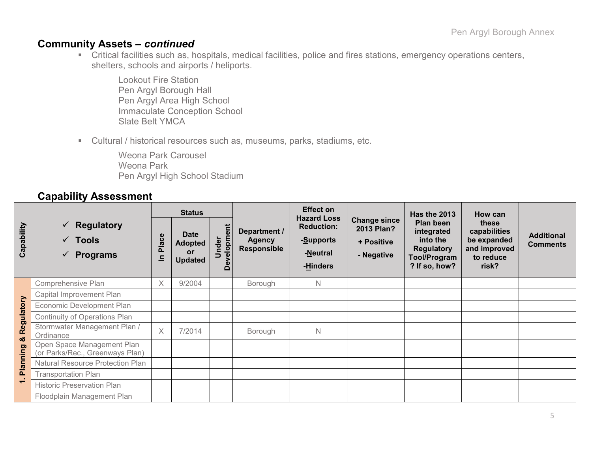### **Community Assets –** *continued*

 Critical facilities such as, hospitals, medical facilities, police and fires stations, emergency operations centers, shelters, schools and airports / heliports.

Lookout Fire Station Pen Argyl Borough Hall Pen Argyl Area High School Immaculate Conception School Slate Belt YMCA

Cultural / historical resources such as, museums, parks, stadiums, etc.

Weona Park Carousel Weona Park Pen Argyl High School Stadium

### **Capability Assessment**

|                 |                                                                    | <b>Status</b>     |                                                       |                            |                                                     | <b>Effect on</b>                                                             |                                                               | Has the 2013                                                                              | How can                                                                    |                                      |
|-----------------|--------------------------------------------------------------------|-------------------|-------------------------------------------------------|----------------------------|-----------------------------------------------------|------------------------------------------------------------------------------|---------------------------------------------------------------|-------------------------------------------------------------------------------------------|----------------------------------------------------------------------------|--------------------------------------|
| Capability      | <b>Regulatory</b><br>✓<br>$\sqrt{ }$ Tools<br><b>Programs</b><br>✓ | Place<br>$\equiv$ | <b>Date</b><br><b>Adopted</b><br>or<br><b>Updated</b> | ent<br>elopme<br>nder<br>Δ | Department /<br><b>Agency</b><br><b>Responsible</b> | <b>Hazard Loss</b><br><b>Reduction:</b><br>-Supports<br>-Neutral<br>-Hinders | <b>Change since</b><br>2013 Plan?<br>+ Positive<br>- Negative | Plan been<br>integrated<br>into the<br><b>Regulatory</b><br>Tool/Program<br>? If so, how? | these<br>capabilities<br>be expanded<br>and improved<br>to reduce<br>risk? | <b>Additional</b><br><b>Comments</b> |
|                 | Comprehensive Plan                                                 | X                 | 9/2004                                                |                            | Borough                                             | N                                                                            |                                                               |                                                                                           |                                                                            |                                      |
|                 | Capital Improvement Plan                                           |                   |                                                       |                            |                                                     |                                                                              |                                                               |                                                                                           |                                                                            |                                      |
|                 | Economic Development Plan                                          |                   |                                                       |                            |                                                     |                                                                              |                                                               |                                                                                           |                                                                            |                                      |
|                 | <b>Continuity of Operations Plan</b>                               |                   |                                                       |                            |                                                     |                                                                              |                                                               |                                                                                           |                                                                            |                                      |
| Regulatory<br>ಯ | Stormwater Management Plan /<br>Ordinance                          | $\times$          | 7/2014                                                |                            | Borough                                             | N                                                                            |                                                               |                                                                                           |                                                                            |                                      |
| Planning        | Open Space Management Plan<br>(or Parks/Rec., Greenways Plan)      |                   |                                                       |                            |                                                     |                                                                              |                                                               |                                                                                           |                                                                            |                                      |
|                 | <b>Natural Resource Protection Plan</b>                            |                   |                                                       |                            |                                                     |                                                                              |                                                               |                                                                                           |                                                                            |                                      |
|                 | <b>Transportation Plan</b>                                         |                   |                                                       |                            |                                                     |                                                                              |                                                               |                                                                                           |                                                                            |                                      |
| $\overline{ }$  | <b>Historic Preservation Plan</b>                                  |                   |                                                       |                            |                                                     |                                                                              |                                                               |                                                                                           |                                                                            |                                      |
|                 | Floodplain Management Plan                                         |                   |                                                       |                            |                                                     |                                                                              |                                                               |                                                                                           |                                                                            |                                      |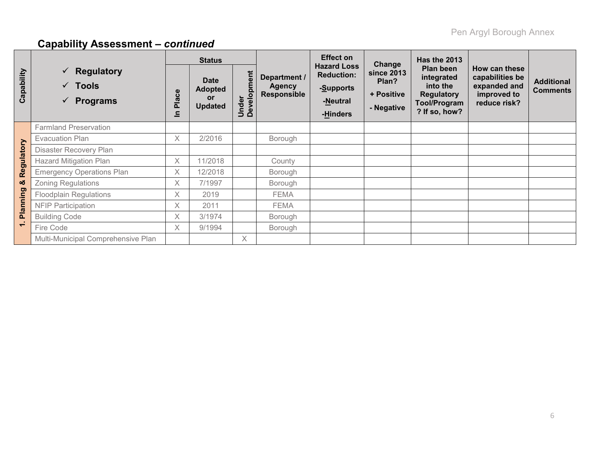# **Capability Assessment –** *continued*

|                          |                                                                        | <b>Status</b> |                                                              |                                      |                                                     | <b>Effect on</b>                                                             | Change                                          | <b>Has the 2013</b>                                                                       |                                                                                 |                                      |
|--------------------------|------------------------------------------------------------------------|---------------|--------------------------------------------------------------|--------------------------------------|-----------------------------------------------------|------------------------------------------------------------------------------|-------------------------------------------------|-------------------------------------------------------------------------------------------|---------------------------------------------------------------------------------|--------------------------------------|
| Capability               | $\checkmark$ Regulatory<br>$\checkmark$ Tools<br>$\checkmark$ Programs | Place<br>드    | <b>Date</b><br><b>Adopted</b><br><b>or</b><br><b>Updated</b> | ment<br>Under<br>Develo <sub>l</sub> | Department /<br><b>Agency</b><br><b>Responsible</b> | <b>Hazard Loss</b><br><b>Reduction:</b><br>-Supports<br>-Neutral<br>-Hinders | since 2013<br>Plan?<br>+ Positive<br>- Negative | Plan been<br>integrated<br>into the<br><b>Regulatory</b><br>Tool/Program<br>? If so, how? | How can these<br>capabilities be<br>expanded and<br>improved to<br>reduce risk? | <b>Additional</b><br><b>Comments</b> |
|                          | <b>Farmland Preservation</b>                                           |               |                                                              |                                      |                                                     |                                                                              |                                                 |                                                                                           |                                                                                 |                                      |
|                          | <b>Evacuation Plan</b>                                                 | $\times$      | 2/2016                                                       |                                      | Borough                                             |                                                                              |                                                 |                                                                                           |                                                                                 |                                      |
|                          | Disaster Recovery Plan                                                 |               |                                                              |                                      |                                                     |                                                                              |                                                 |                                                                                           |                                                                                 |                                      |
|                          | <b>Hazard Mitigation Plan</b>                                          | $\times$      | 11/2018                                                      |                                      | County                                              |                                                                              |                                                 |                                                                                           |                                                                                 |                                      |
| Regulatory               | <b>Emergency Operations Plan</b>                                       | X             | 12/2018                                                      |                                      | Borough                                             |                                                                              |                                                 |                                                                                           |                                                                                 |                                      |
| ೲ                        | <b>Zoning Regulations</b>                                              | X             | 7/1997                                                       |                                      | Borough                                             |                                                                              |                                                 |                                                                                           |                                                                                 |                                      |
|                          | <b>Floodplain Regulations</b>                                          | $\times$      | 2019                                                         |                                      | <b>FEMA</b>                                         |                                                                              |                                                 |                                                                                           |                                                                                 |                                      |
| Planning                 | <b>NFIP Participation</b>                                              | X             | 2011                                                         |                                      | <b>FEMA</b>                                         |                                                                              |                                                 |                                                                                           |                                                                                 |                                      |
|                          | <b>Building Code</b>                                                   | X             | 3/1974                                                       |                                      | Borough                                             |                                                                              |                                                 |                                                                                           |                                                                                 |                                      |
| $\overline{\phantom{0}}$ | Fire Code                                                              | X             | 9/1994                                                       |                                      | Borough                                             |                                                                              |                                                 |                                                                                           |                                                                                 |                                      |
|                          | Multi-Municipal Comprehensive Plan                                     |               |                                                              | $\times$                             |                                                     |                                                                              |                                                 |                                                                                           |                                                                                 |                                      |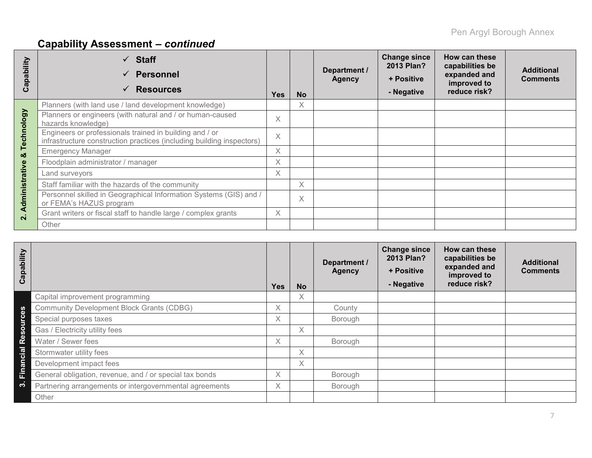# **Capability Assessment –** *continued*

| Capability              | <b>Staff</b><br><b>Personnel</b><br><b>Resources</b>                                                                             | <b>Yes</b> | <b>No</b> | Department /<br><b>Agency</b> | <b>Change since</b><br>2013 Plan?<br>+ Positive<br>- Negative | How can these<br>capabilities be<br>expanded and<br>improved to<br>reduce risk? | <b>Additional</b><br><b>Comments</b> |
|-------------------------|----------------------------------------------------------------------------------------------------------------------------------|------------|-----------|-------------------------------|---------------------------------------------------------------|---------------------------------------------------------------------------------|--------------------------------------|
|                         | Planners (with land use / land development knowledge)                                                                            |            | X         |                               |                                                               |                                                                                 |                                      |
|                         | Planners or engineers (with natural and / or human-caused<br>hazards knowledge)                                                  | $\times$   |           |                               |                                                               |                                                                                 |                                      |
| Technology              | Engineers or professionals trained in building and / or<br>infrastructure construction practices (including building inspectors) | X          |           |                               |                                                               |                                                                                 |                                      |
| ×                       | <b>Emergency Manager</b>                                                                                                         | X          |           |                               |                                                               |                                                                                 |                                      |
|                         | Floodplain administrator / manager                                                                                               | X          |           |                               |                                                               |                                                                                 |                                      |
|                         | Land surveyors                                                                                                                   | X.         |           |                               |                                                               |                                                                                 |                                      |
|                         | Staff familiar with the hazards of the community                                                                                 |            | $\times$  |                               |                                                               |                                                                                 |                                      |
| Administrative          | Personnel skilled in Geographical Information Systems (GIS) and /<br>or FEMA's HAZUS program                                     |            | $\times$  |                               |                                                               |                                                                                 |                                      |
| $\overline{\mathbf{a}}$ | Grant writers or fiscal staff to handle large / complex grants                                                                   | $\times$   |           |                               |                                                               |                                                                                 |                                      |
|                         | Other                                                                                                                            |            |           |                               |                                                               |                                                                                 |                                      |

| Capability |                                                         | <b>Yes</b> | <b>No</b> | Department /<br><b>Agency</b> | <b>Change since</b><br>2013 Plan?<br>+ Positive<br>- Negative | How can these<br>capabilities be<br>expanded and<br>improved to<br>reduce risk? | <b>Additional</b><br><b>Comments</b> |
|------------|---------------------------------------------------------|------------|-----------|-------------------------------|---------------------------------------------------------------|---------------------------------------------------------------------------------|--------------------------------------|
|            | Capital improvement programming                         |            | X.        |                               |                                                               |                                                                                 |                                      |
|            | <b>Community Development Block Grants (CDBG)</b>        | X          |           | County                        |                                                               |                                                                                 |                                      |
|            | Special purposes taxes                                  | X          |           | Borough                       |                                                               |                                                                                 |                                      |
| Resourc    | Gas / Electricity utility fees                          |            | X.        |                               |                                                               |                                                                                 |                                      |
|            | Water / Sewer fees                                      | $\times$   |           | Borough                       |                                                               |                                                                                 |                                      |
| Financial  | Stormwater utility fees                                 |            | X.        |                               |                                                               |                                                                                 |                                      |
|            | Development impact fees                                 |            | $\chi$    |                               |                                                               |                                                                                 |                                      |
|            | General obligation, revenue, and / or special tax bonds | $\times$   |           | Borough                       |                                                               |                                                                                 |                                      |
| ကဲ         | Partnering arrangements or intergovernmental agreements | X          |           | Borough                       |                                                               |                                                                                 |                                      |
|            | Other                                                   |            |           |                               |                                                               |                                                                                 |                                      |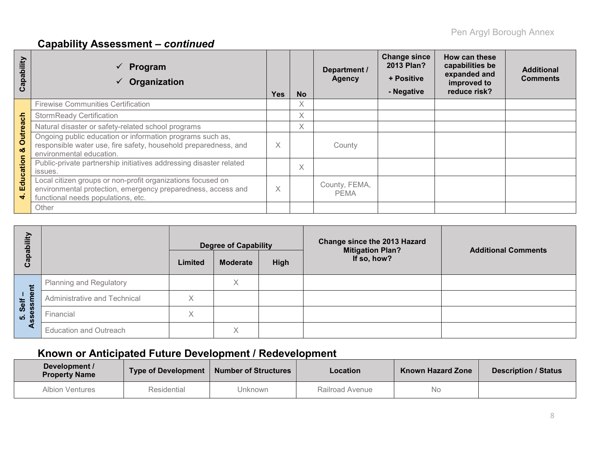# **Capability Assessment –** *continued*

| Capability           | Program<br>Organization                                                                                                                                           | <b>Yes</b> | <b>No</b> | Department /<br><b>Agency</b> | <b>Change since</b><br>2013 Plan?<br>+ Positive<br>- Negative | How can these<br>capabilities be<br>expanded and<br>improved to<br>reduce risk? | <b>Additional</b><br><b>Comments</b> |
|----------------------|-------------------------------------------------------------------------------------------------------------------------------------------------------------------|------------|-----------|-------------------------------|---------------------------------------------------------------|---------------------------------------------------------------------------------|--------------------------------------|
|                      | <b>Firewise Communities Certification</b>                                                                                                                         |            | X         |                               |                                                               |                                                                                 |                                      |
|                      | <b>StormReady Certification</b>                                                                                                                                   |            | X         |                               |                                                               |                                                                                 |                                      |
|                      | Natural disaster or safety-related school programs                                                                                                                |            | Χ         |                               |                                                               |                                                                                 |                                      |
| <b>Outreach</b><br>ಜ | Ongoing public education or information programs such as,<br>responsible water use, fire safety, household preparedness, and<br>environmental education.          | X          |           | County                        |                                                               |                                                                                 |                                      |
| ducation             | Public-private partnership initiatives addressing disaster related<br>issues.                                                                                     |            | X         |                               |                                                               |                                                                                 |                                      |
| ш<br>÷               | Local citizen groups or non-profit organizations focused on<br>environmental protection, emergency preparedness, access and<br>functional needs populations, etc. | X          |           | County, FEMA,<br><b>PEMA</b>  |                                                               |                                                                                 |                                      |
|                      | Other                                                                                                                                                             |            |           |                               |                                                               |                                                                                 |                                      |

| Capability      |                                | Limited | <b>Degree of Capability</b><br><b>Moderate</b> | High | Change since the 2013 Hazard<br><b>Mitigation Plan?</b><br>If so, how? | <b>Additional Comments</b> |
|-----------------|--------------------------------|---------|------------------------------------------------|------|------------------------------------------------------------------------|----------------------------|
|                 | <b>Planning and Regulatory</b> |         | Χ                                              |      |                                                                        |                            |
| essment<br>Self | Administrative and Technical   | X       |                                                |      |                                                                        |                            |
| ທ່              | Financial                      | Χ       |                                                |      |                                                                        |                            |
|                 | <b>Education and Outreach</b>  |         | X                                              |      |                                                                        |                            |

# **Known or Anticipated Future Development / Redevelopment**

| Development /<br><b>Property Name</b> |                        | Type of Development   Number of Structures | <b>Location</b> | <b>Known Hazard Zone</b> | <b>Description / Status</b> |
|---------------------------------------|------------------------|--------------------------------------------|-----------------|--------------------------|-----------------------------|
| <b>Albion Ventures</b>                | Residential<br>Jnknown |                                            | Railroad Avenue | No                       |                             |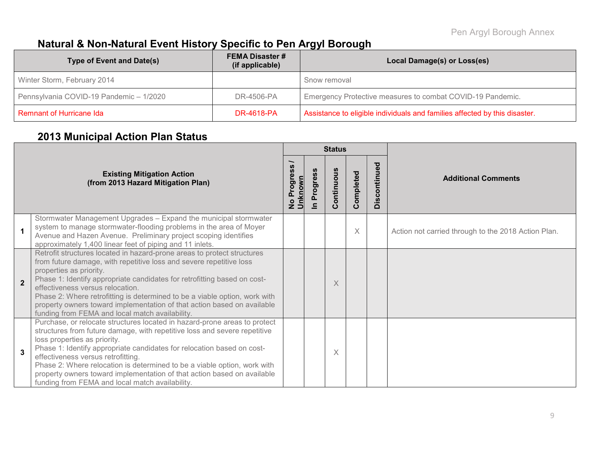# **Natural & Non-Natural Event History Specific to Pen Argyl Borough**

| Type of Event and Date(s)               | <b>FEMA Disaster #</b><br>(if applicable) | Local Damage(s) or Loss(es)                                                |
|-----------------------------------------|-------------------------------------------|----------------------------------------------------------------------------|
| Winter Storm, February 2014             |                                           | Snow removal                                                               |
| Pennsylvania COVID-19 Pandemic - 1/2020 | DR-4506-PA                                | Emergency Protective measures to combat COVID-19 Pandemic.                 |
| Remnant of Hurricane Ida                | <b>DR-4618-PA</b>                         | Assistance to eligible individuals and families affected by this disaster. |

# **2013 Municipal Action Plan Status**

|                                                                         |                                                                                                                                                                                                                                                                                                                                                                                                                                                                                                                  |  |                                                  | <b>Status</b>        |           |                      |                                                     |
|-------------------------------------------------------------------------|------------------------------------------------------------------------------------------------------------------------------------------------------------------------------------------------------------------------------------------------------------------------------------------------------------------------------------------------------------------------------------------------------------------------------------------------------------------------------------------------------------------|--|--------------------------------------------------|----------------------|-----------|----------------------|-----------------------------------------------------|
| <b>Existing Mitigation Action</b><br>(from 2013 Hazard Mitigation Plan) |                                                                                                                                                                                                                                                                                                                                                                                                                                                                                                                  |  | Progress<br>No Progre<br>Unknown<br>$\mathbf{C}$ | ontinuous<br>$\circ$ | Completed | ued<br>contin<br>Dis | <b>Additional Comments</b>                          |
|                                                                         | Stormwater Management Upgrades - Expand the municipal stormwater<br>system to manage stormwater-flooding problems in the area of Moyer<br>Avenue and Hazen Avenue. Preliminary project scoping identifies<br>approximately 1,400 linear feet of piping and 11 inlets.                                                                                                                                                                                                                                            |  |                                                  |                      | $\times$  |                      | Action not carried through to the 2018 Action Plan. |
| $\overline{2}$                                                          | Retrofit structures located in hazard-prone areas to protect structures<br>from future damage, with repetitive loss and severe repetitive loss<br>properties as priority.<br>Phase 1: Identify appropriate candidates for retrofitting based on cost-<br>effectiveness versus relocation.<br>Phase 2: Where retrofitting is determined to be a viable option, work with<br>property owners toward implementation of that action based on available<br>funding from FEMA and local match availability.            |  |                                                  | X                    |           |                      |                                                     |
| 3                                                                       | Purchase, or relocate structures located in hazard-prone areas to protect<br>structures from future damage, with repetitive loss and severe repetitive<br>loss properties as priority.<br>Phase 1: Identify appropriate candidates for relocation based on cost-<br>effectiveness versus retrofitting.<br>Phase 2: Where relocation is determined to be a viable option, work with<br>property owners toward implementation of that action based on available<br>funding from FEMA and local match availability. |  |                                                  | X                    |           |                      |                                                     |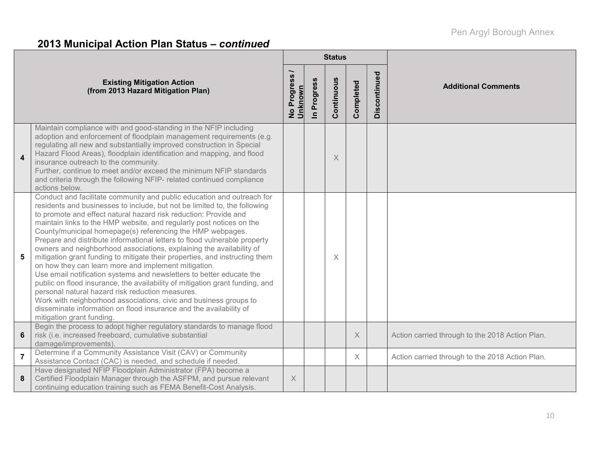# **2013 Municipal Action Plan Status –** *continued*

|                         |                                                                                                                                                                                                                                                                                                                                                                                                                                                                                                                                                                                                                                                                                                                                                                                                                                                                                                                                                                                                                                              |                                  |             | <b>Status</b> |           |              |                                                 |  |  |
|-------------------------|----------------------------------------------------------------------------------------------------------------------------------------------------------------------------------------------------------------------------------------------------------------------------------------------------------------------------------------------------------------------------------------------------------------------------------------------------------------------------------------------------------------------------------------------------------------------------------------------------------------------------------------------------------------------------------------------------------------------------------------------------------------------------------------------------------------------------------------------------------------------------------------------------------------------------------------------------------------------------------------------------------------------------------------------|----------------------------------|-------------|---------------|-----------|--------------|-------------------------------------------------|--|--|
|                         | <b>Existing Mitigation Action</b><br>(from 2013 Hazard Mitigation Plan)                                                                                                                                                                                                                                                                                                                                                                                                                                                                                                                                                                                                                                                                                                                                                                                                                                                                                                                                                                      | Progress<br>No Progre<br>Unknown | In Progress | Continuous    | Completed | Discontinued | <b>Additional Comments</b>                      |  |  |
| $\overline{\mathbf{4}}$ | Maintain compliance with and good-standing in the NFIP including<br>adoption and enforcement of floodplain management requirements (e.g.<br>regulating all new and substantially improved construction in Special<br>Hazard Flood Areas), floodplain identification and mapping, and flood<br>insurance outreach to the community.<br>Further, continue to meet and/or exceed the minimum NFIP standards<br>and criteria through the following NFIP- related continued compliance<br>actions below.                                                                                                                                                                                                                                                                                                                                                                                                                                                                                                                                          |                                  |             | X             |           |              |                                                 |  |  |
| 5                       | Conduct and facilitate community and public education and outreach for<br>residents and businesses to include, but not be limited to, the following<br>to promote and effect natural hazard risk reduction: Provide and<br>maintain links to the HMP website, and regularly post notices on the<br>County/municipal homepage(s) referencing the HMP webpages.<br>Prepare and distribute informational letters to flood vulnerable property<br>owners and neighborhood associations, explaining the availability of<br>mitigation grant funding to mitigate their properties, and instructing them<br>on how they can learn more and implement mitigation.<br>Use email notification systems and newsletters to better educate the<br>public on flood insurance, the availability of mitigation grant funding, and<br>personal natural hazard risk reduction measures.<br>Work with neighborhood associations, civic and business groups to<br>disseminate information on flood insurance and the availability of<br>mitigation grant funding |                                  |             | X             |           |              |                                                 |  |  |
| $\bf 6$                 | Begin the process to adopt higher regulatory standards to manage flood<br>risk (i.e. increased freeboard, cumulative substantial<br>damage/improvements).                                                                                                                                                                                                                                                                                                                                                                                                                                                                                                                                                                                                                                                                                                                                                                                                                                                                                    |                                  |             |               | X         |              | Action carried through to the 2018 Action Plan. |  |  |
| $\overline{7}$          | Determine if a Community Assistance Visit (CAV) or Community<br>Assistance Contact (CAC) is needed, and schedule if needed.                                                                                                                                                                                                                                                                                                                                                                                                                                                                                                                                                                                                                                                                                                                                                                                                                                                                                                                  |                                  |             |               | $\times$  |              | Action carried through to the 2018 Action Plan. |  |  |
| 8                       | Have designated NFIP Floodplain Administrator (FPA) become a<br>Certified Floodplain Manager through the ASFPM, and pursue relevant<br>continuing education training such as FEMA Benefit-Cost Analysis.                                                                                                                                                                                                                                                                                                                                                                                                                                                                                                                                                                                                                                                                                                                                                                                                                                     | X                                |             |               |           |              |                                                 |  |  |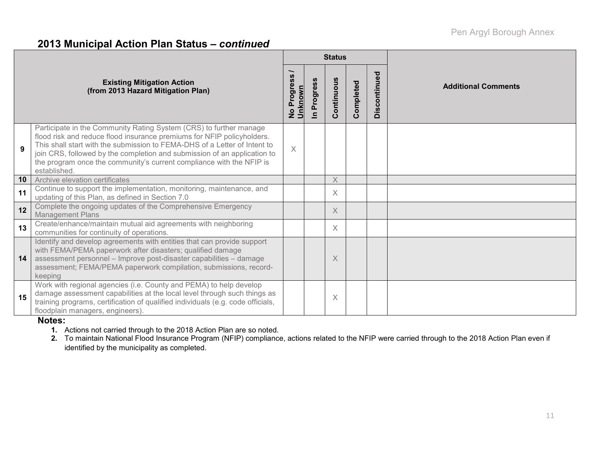### **2013 Municipal Action Plan Status –** *continued*

|    |                                                                                                                                                                                                                                                                                                                                                                                               |                                                  |             | <b>Status</b> |           |              |                            |  |  |
|----|-----------------------------------------------------------------------------------------------------------------------------------------------------------------------------------------------------------------------------------------------------------------------------------------------------------------------------------------------------------------------------------------------|--------------------------------------------------|-------------|---------------|-----------|--------------|----------------------------|--|--|
|    | <b>Existing Mitigation Action</b><br>(from 2013 Hazard Mitigation Plan)                                                                                                                                                                                                                                                                                                                       | ၷ<br>Progres<br>No Progr <del>e</del><br>Unknown | In Progress | Continuous    | Completed | Discontinued | <b>Additional Comments</b> |  |  |
| 9  | Participate in the Community Rating System (CRS) to further manage<br>flood risk and reduce flood insurance premiums for NFIP policyholders.<br>This shall start with the submission to FEMA-DHS of a Letter of Intent to<br>join CRS, followed by the completion and submission of an application to<br>the program once the community's current compliance with the NFIP is<br>established. | $\times$                                         |             |               |           |              |                            |  |  |
| 10 | Archive elevation certificates                                                                                                                                                                                                                                                                                                                                                                |                                                  |             | $\times$      |           |              |                            |  |  |
| 11 | Continue to support the implementation, monitoring, maintenance, and<br>updating of this Plan, as defined in Section 7.0                                                                                                                                                                                                                                                                      |                                                  |             | X             |           |              |                            |  |  |
| 12 | Complete the ongoing updates of the Comprehensive Emergency<br><b>Management Plans</b>                                                                                                                                                                                                                                                                                                        |                                                  |             | $\times$      |           |              |                            |  |  |
| 13 | Create/enhance/maintain mutual aid agreements with neighboring<br>communities for continuity of operations.                                                                                                                                                                                                                                                                                   |                                                  |             | X             |           |              |                            |  |  |
| 14 | Identify and develop agreements with entities that can provide support<br>with FEMA/PEMA paperwork after disasters; qualified damage<br>assessment personnel - Improve post-disaster capabilities - damage<br>assessment; FEMA/PEMA paperwork compilation, submissions, record-<br>keeping                                                                                                    |                                                  |             | X             |           |              |                            |  |  |
| 15 | Work with regional agencies (i.e. County and PEMA) to help develop<br>damage assessment capabilities at the local level through such things as<br>training programs, certification of qualified individuals (e.g. code officials,<br>floodplain managers, engineers).                                                                                                                         |                                                  |             | X             |           |              |                            |  |  |

#### **Notes:**

**1.** Actions not carried through to the 2018 Action Plan are so noted.

**2.** To maintain National Flood Insurance Program (NFIP) compliance, actions related to the NFIP were carried through to the 2018 Action Plan even if identified by the municipality as completed.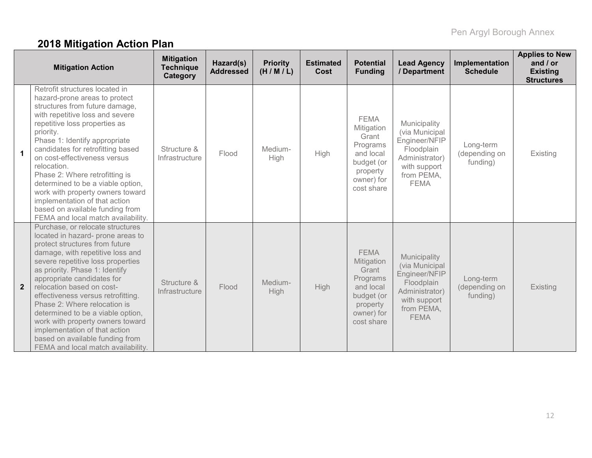# **2018 Mitigation Action Plan**

|                         | <b>Mitigation Action</b>                                                                                                                                                                                                                                                                                                                                                                                                                                                                                                               | <b>Mitigation</b><br><b>Technique</b><br>Category | Hazard(s)<br><b>Addressed</b> | <b>Priority</b><br>(H/M/L) | <b>Estimated</b><br>Cost | <b>Potential</b><br><b>Funding</b>                                                                                | <b>Lead Agency</b><br>/ Department                                                                                           | Implementation<br><b>Schedule</b>      | <b>Applies to New</b><br>and $/$ or<br><b>Existing</b><br><b>Structures</b> |
|-------------------------|----------------------------------------------------------------------------------------------------------------------------------------------------------------------------------------------------------------------------------------------------------------------------------------------------------------------------------------------------------------------------------------------------------------------------------------------------------------------------------------------------------------------------------------|---------------------------------------------------|-------------------------------|----------------------------|--------------------------|-------------------------------------------------------------------------------------------------------------------|------------------------------------------------------------------------------------------------------------------------------|----------------------------------------|-----------------------------------------------------------------------------|
| $\overline{\mathbf{1}}$ | Retrofit structures located in<br>hazard-prone areas to protect<br>structures from future damage,<br>with repetitive loss and severe<br>repetitive loss properties as<br>priority.<br>Phase 1: Identify appropriate<br>candidates for retrofitting based<br>on cost-effectiveness versus<br>relocation.<br>Phase 2: Where retrofitting is<br>determined to be a viable option,<br>work with property owners toward<br>implementation of that action<br>based on available funding from<br>FEMA and local match availability.           | Structure &<br>Infrastructure                     | Flood                         | Medium-<br>High            | <b>High</b>              | <b>FEMA</b><br>Mitigation<br>Grant<br>Programs<br>and local<br>budget (or<br>property<br>owner) for<br>cost share | Municipality<br>(via Municipal<br>Engineer/NFIP<br>Floodplain<br>Administrator)<br>with support<br>from PEMA,<br><b>FEMA</b> | Long-term<br>(depending on<br>funding) | Existing                                                                    |
| $\overline{2}$          | Purchase, or relocate structures<br>located in hazard- prone areas to<br>protect structures from future<br>damage, with repetitive loss and<br>severe repetitive loss properties<br>as priority. Phase 1: Identify<br>appropriate candidates for<br>relocation based on cost-<br>effectiveness versus retrofitting.<br>Phase 2: Where relocation is<br>determined to be a viable option,<br>work with property owners toward<br>implementation of that action<br>based on available funding from<br>FEMA and local match availability. | Structure &<br>Infrastructure                     | Flood                         | Medium-<br>High            | High                     | <b>FEMA</b><br>Mitigation<br>Grant<br>Programs<br>and local<br>budget (or<br>property<br>owner) for<br>cost share | Municipality<br>(via Municipal<br>Engineer/NFIP<br>Floodplain<br>Administrator)<br>with support<br>from PEMA,<br><b>FEMA</b> | Long-term<br>(depending on<br>funding) | <b>Existing</b>                                                             |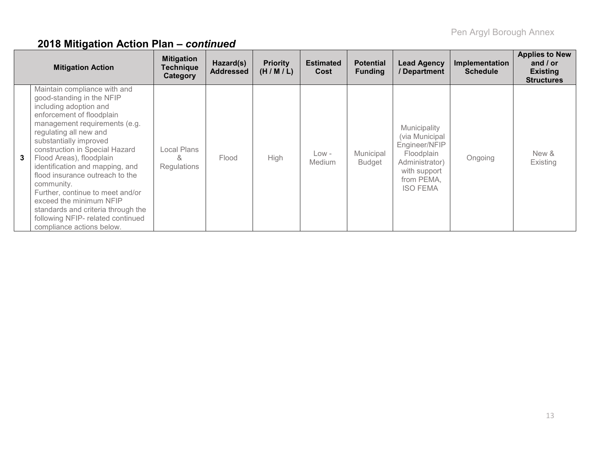|   | <b>Mitigation Action</b>                                                                                                                                                                                                                                                                                                                                                                                                                                                                                                       | <b>Mitigation</b><br>Technique<br>Category | Hazard(s)<br><b>Addressed</b> | <b>Priority</b><br>(H/M/L) | <b>Estimated</b><br>Cost | <b>Potential</b><br><b>Funding</b> | <b>Lead Agency</b><br>/ Department                                                                                              | Implementation<br><b>Schedule</b> | <b>Applies to New</b><br>and $/$ or<br><b>Existing</b><br><b>Structures</b> |
|---|--------------------------------------------------------------------------------------------------------------------------------------------------------------------------------------------------------------------------------------------------------------------------------------------------------------------------------------------------------------------------------------------------------------------------------------------------------------------------------------------------------------------------------|--------------------------------------------|-------------------------------|----------------------------|--------------------------|------------------------------------|---------------------------------------------------------------------------------------------------------------------------------|-----------------------------------|-----------------------------------------------------------------------------|
| 3 | Maintain compliance with and<br>good-standing in the NFIP<br>including adoption and<br>enforcement of floodplain<br>management requirements (e.g.<br>regulating all new and<br>substantially improved<br>construction in Special Hazard<br>Flood Areas), floodplain<br>identification and mapping, and<br>flood insurance outreach to the<br>community.<br>Further, continue to meet and/or<br>exceed the minimum NFIP<br>standards and criteria through the<br>following NFIP- related continued<br>compliance actions below. | Local Plans<br>&<br>Regulations            | Flood                         | High                       | Low -<br>Medium          | Municipal<br><b>Budget</b>         | Municipality<br>(via Municipal<br>Engineer/NFIP<br>Floodplain<br>Administrator<br>with support<br>from PEMA,<br><b>ISO FEMA</b> | Ongoing                           | New &<br>Existing                                                           |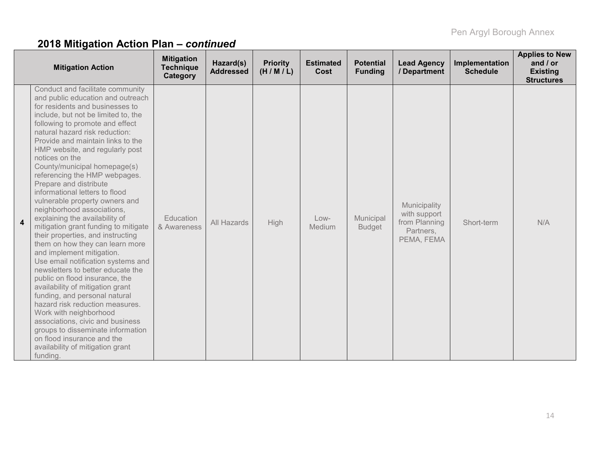|                         | <b>Mitigation Action</b>                                                                                                                                                                                                                                                                                                                                                                                                                                                                                                                                                                                                                                                                                                                                                                                                                                                                                                                                                                                                                                                                         | <b>Mitigation</b><br><b>Technique</b><br>Category | Hazard(s)<br><b>Addressed</b> | <b>Priority</b><br>(H/M/L) | <b>Estimated</b><br>Cost | <b>Potential</b><br><b>Funding</b> | <b>Lead Agency</b><br>/ Department                                       | Implementation<br><b>Schedule</b> | <b>Applies to New</b><br>and $/$ or<br><b>Existing</b><br><b>Structures</b> |
|-------------------------|--------------------------------------------------------------------------------------------------------------------------------------------------------------------------------------------------------------------------------------------------------------------------------------------------------------------------------------------------------------------------------------------------------------------------------------------------------------------------------------------------------------------------------------------------------------------------------------------------------------------------------------------------------------------------------------------------------------------------------------------------------------------------------------------------------------------------------------------------------------------------------------------------------------------------------------------------------------------------------------------------------------------------------------------------------------------------------------------------|---------------------------------------------------|-------------------------------|----------------------------|--------------------------|------------------------------------|--------------------------------------------------------------------------|-----------------------------------|-----------------------------------------------------------------------------|
| $\overline{\mathbf{4}}$ | Conduct and facilitate community<br>and public education and outreach<br>for residents and businesses to<br>include, but not be limited to, the<br>following to promote and effect<br>natural hazard risk reduction:<br>Provide and maintain links to the<br>HMP website, and regularly post<br>notices on the<br>County/municipal homepage(s)<br>referencing the HMP webpages.<br>Prepare and distribute<br>informational letters to flood<br>vulnerable property owners and<br>neighborhood associations,<br>explaining the availability of<br>mitigation grant funding to mitigate<br>their properties, and instructing<br>them on how they can learn more<br>and implement mitigation.<br>Use email notification systems and<br>newsletters to better educate the<br>public on flood insurance, the<br>availability of mitigation grant<br>funding, and personal natural<br>hazard risk reduction measures.<br>Work with neighborhood<br>associations, civic and business<br>groups to disseminate information<br>on flood insurance and the<br>availability of mitigation grant<br>funding. | Education<br>& Awareness                          | All Hazards                   | High                       | $Low-$<br>Medium         | Municipal<br><b>Budget</b>         | Municipality<br>with support<br>from Planning<br>Partners,<br>PEMA, FEMA | Short-term                        | N/A                                                                         |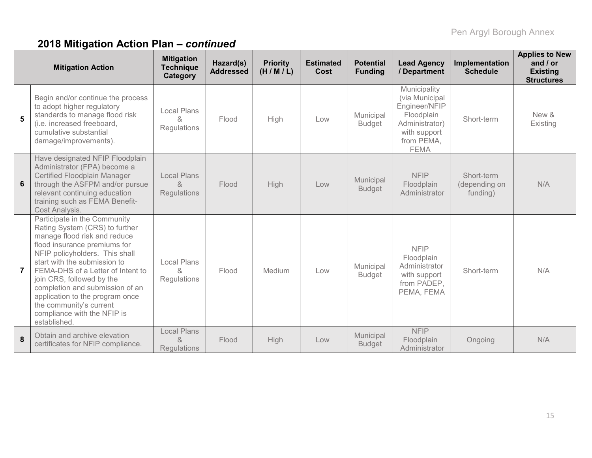|                | <b>Mitigation Action</b>                                                                                                                                                                                                                                                                                                                                                                                           | <b>Mitigation</b><br><b>Technique</b><br><b>Category</b> | Hazard(s)<br><b>Addressed</b> | <b>Priority</b><br>(H/M/L) | <b>Estimated</b><br>Cost | <b>Potential</b><br><b>Funding</b> | <b>Lead Agency</b><br>/ Department                                                                                           | Implementation<br><b>Schedule</b>       | <b>Applies to New</b><br>and $/$ or<br><b>Existing</b><br><b>Structures</b> |
|----------------|--------------------------------------------------------------------------------------------------------------------------------------------------------------------------------------------------------------------------------------------------------------------------------------------------------------------------------------------------------------------------------------------------------------------|----------------------------------------------------------|-------------------------------|----------------------------|--------------------------|------------------------------------|------------------------------------------------------------------------------------------------------------------------------|-----------------------------------------|-----------------------------------------------------------------------------|
| 5              | Begin and/or continue the process<br>to adopt higher regulatory<br>standards to manage flood risk<br>(i.e. increased freeboard,<br>cumulative substantial<br>damage/improvements).                                                                                                                                                                                                                                 | Local Plans<br>&<br><b>Regulations</b>                   | Flood                         | High                       | Low                      | Municipal<br><b>Budget</b>         | Municipality<br>(via Municipal<br>Engineer/NFIP<br>Floodplain<br>Administrator)<br>with support<br>from PEMA,<br><b>FEMA</b> | Short-term                              | New &<br>Existing                                                           |
| 6              | Have designated NFIP Floodplain<br>Administrator (FPA) become a<br>Certified Floodplain Manager<br>through the ASFPM and/or pursue<br>relevant continuing education<br>training such as FEMA Benefit-<br>Cost Analysis.                                                                                                                                                                                            | <b>Local Plans</b><br>$\alpha$<br><b>Regulations</b>     | Flood                         | <b>High</b>                | Low                      | Municipal<br><b>Budget</b>         | <b>NFIP</b><br>Floodplain<br>Administrator                                                                                   | Short-term<br>(depending on<br>funding) | N/A                                                                         |
| $\overline{7}$ | Participate in the Community<br>Rating System (CRS) to further<br>manage flood risk and reduce<br>flood insurance premiums for<br>NFIP policyholders. This shall<br>start with the submission to<br>FEMA-DHS of a Letter of Intent to<br>join CRS, followed by the<br>completion and submission of an<br>application to the program once<br>the community's current<br>compliance with the NFIP is<br>established. | <b>Local Plans</b><br>&<br>Regulations                   | Flood                         | Medium                     | Low                      | Municipal<br><b>Budget</b>         | <b>NFIP</b><br>Floodplain<br>Administrator<br>with support<br>from PADEP,<br>PEMA, FEMA                                      | Short-term                              | N/A                                                                         |
| 8              | Obtain and archive elevation<br>certificates for NFIP compliance.                                                                                                                                                                                                                                                                                                                                                  | <b>Local Plans</b><br>$\alpha$<br><b>Regulations</b>     | Flood                         | High                       | Low                      | Municipal<br><b>Budget</b>         | <b>NFIP</b><br>Floodplain<br>Administrator                                                                                   | Ongoing                                 | N/A                                                                         |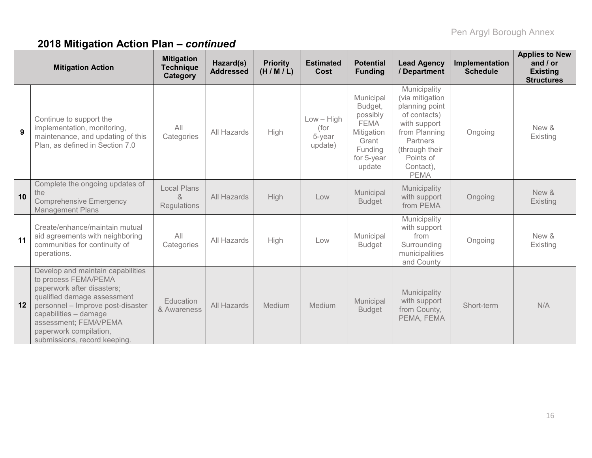|    | <b>Mitigation Action</b>                                                                                                                                                                                                                                                | <b>Mitigation</b><br><b>Technique</b><br>Category                | Hazard(s)<br><b>Addressed</b> | <b>Priority</b><br>(H/M/L) | <b>Estimated</b><br>Cost                  | <b>Potential</b><br><b>Funding</b>                                                                        | <b>Lead Agency</b><br>/ Department                                                                                                                                               | Implementation<br><b>Schedule</b> | <b>Applies to New</b><br>and $/$ or<br><b>Existing</b><br><b>Structures</b> |
|----|-------------------------------------------------------------------------------------------------------------------------------------------------------------------------------------------------------------------------------------------------------------------------|------------------------------------------------------------------|-------------------------------|----------------------------|-------------------------------------------|-----------------------------------------------------------------------------------------------------------|----------------------------------------------------------------------------------------------------------------------------------------------------------------------------------|-----------------------------------|-----------------------------------------------------------------------------|
| 9  | Continue to support the<br>implementation, monitoring,<br>maintenance, and updating of this<br>Plan, as defined in Section 7.0                                                                                                                                          | All<br>Categories                                                | All Hazards                   | High                       | $Low - High$<br>(for<br>5-year<br>update) | Municipal<br>Budget,<br>possibly<br><b>FEMA</b><br>Mitigation<br>Grant<br>Funding<br>for 5-year<br>update | Municipality<br>(via mitigation<br>planning point<br>of contacts)<br>with support<br>from Planning<br><b>Partners</b><br>(through their<br>Points of<br>Contact),<br><b>PEMA</b> | Ongoing                           | New &<br>Existing                                                           |
| 10 | Complete the ongoing updates of<br>the<br><b>Comprehensive Emergency</b><br><b>Management Plans</b>                                                                                                                                                                     | <b>Local Plans</b><br>$\mathcal{R}_{\mathcal{C}}$<br>Regulations | All Hazards                   | High                       | Low                                       | Municipal<br><b>Budget</b>                                                                                | Municipality<br>with support<br>from PEMA                                                                                                                                        | Ongoing                           | New &<br>Existing                                                           |
| 11 | Create/enhance/maintain mutual<br>aid agreements with neighboring<br>communities for continuity of<br>operations.                                                                                                                                                       | All<br>Categories                                                | All Hazards                   | High                       | Low                                       | Municipal<br><b>Budget</b>                                                                                | Municipality<br>with support<br>from<br>Surrounding<br>municipalities<br>and County                                                                                              | Ongoing                           | New &<br>Existing                                                           |
| 12 | Develop and maintain capabilities<br>to process FEMA/PEMA<br>paperwork after disasters;<br>qualified damage assessment<br>personnel - Improve post-disaster<br>capabilities - damage<br>assessment; FEMA/PEMA<br>paperwork compilation,<br>submissions, record keeping. | Education<br>& Awareness                                         | All Hazards                   | Medium                     | Medium                                    | Municipal<br><b>Budget</b>                                                                                | Municipality<br>with support<br>from County,<br>PEMA, FEMA                                                                                                                       | Short-term                        | N/A                                                                         |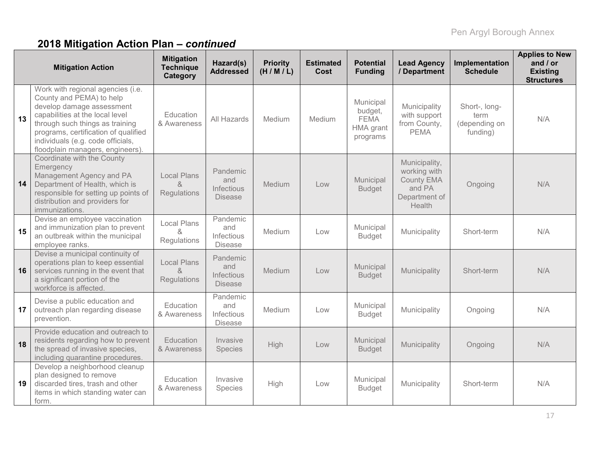|    | <b>Mitigation Action</b>                                                                                                                                                                                                                                                          | <b>Mitigation</b><br><b>Technique</b><br>Category | Hazard(s)<br><b>Addressed</b>                          | <b>Priority</b><br>(H/M/L) | <b>Estimated</b><br>Cost | <b>Potential</b><br><b>Funding</b>                           | <b>Lead Agency</b><br>/ Department                                                      | Implementation<br><b>Schedule</b>                  | <b>Applies to New</b><br>and $/$ or<br><b>Existing</b><br><b>Structures</b> |
|----|-----------------------------------------------------------------------------------------------------------------------------------------------------------------------------------------------------------------------------------------------------------------------------------|---------------------------------------------------|--------------------------------------------------------|----------------------------|--------------------------|--------------------------------------------------------------|-----------------------------------------------------------------------------------------|----------------------------------------------------|-----------------------------------------------------------------------------|
| 13 | Work with regional agencies (i.e.<br>County and PEMA) to help<br>develop damage assessment<br>capabilities at the local level<br>through such things as training<br>programs, certification of qualified<br>individuals (e.g. code officials,<br>floodplain managers, engineers). | Education<br>& Awareness                          | All Hazards                                            | Medium                     | Medium                   | Municipal<br>budget,<br><b>FEMA</b><br>HMA grant<br>programs | Municipality<br>with support<br>from County,<br><b>PEMA</b>                             | Short-, long-<br>term<br>(depending on<br>funding) | N/A                                                                         |
| 14 | Coordinate with the County<br>Emergency<br>Management Agency and PA<br>Department of Health, which is<br>responsible for setting up points of<br>distribution and providers for<br>immunizations.                                                                                 | <b>Local Plans</b><br>Regulations                 | Pandemic<br>and<br>Infectious<br><b>Disease</b>        | Medium                     | Low                      | Municipal<br><b>Budget</b>                                   | Municipality,<br>working with<br><b>County EMA</b><br>and PA<br>Department of<br>Health | Ongoing                                            | N/A                                                                         |
| 15 | Devise an employee vaccination<br>and immunization plan to prevent<br>an outbreak within the municipal<br>employee ranks.                                                                                                                                                         | <b>Local Plans</b><br>x,<br>Regulations           | Pandemic<br>and<br>Infectious<br><b>Disease</b>        | Medium                     | Low                      | Municipal<br><b>Budget</b>                                   | Municipality                                                                            | Short-term                                         | N/A                                                                         |
| 16 | Devise a municipal continuity of<br>operations plan to keep essential<br>services running in the event that<br>a significant portion of the<br>workforce is affected.                                                                                                             | <b>Local Plans</b><br>&<br>Regulations            | Pandemic<br>and<br>Infectious<br><b>Disease</b>        | Medium                     | Low                      | Municipal<br><b>Budget</b>                                   | Municipality                                                                            | Short-term                                         | N/A                                                                         |
| 17 | Devise a public education and<br>outreach plan regarding disease<br>prevention.                                                                                                                                                                                                   | Education<br>& Awareness                          | Pandemic<br>and<br><b>Infectious</b><br><b>Disease</b> | Medium                     | Low                      | Municipal<br><b>Budget</b>                                   | Municipality                                                                            | Ongoing                                            | N/A                                                                         |
| 18 | Provide education and outreach to<br>residents regarding how to prevent<br>the spread of invasive species,<br>including quarantine procedures.                                                                                                                                    | Education<br>& Awareness                          | Invasive<br>Species                                    | High                       | Low                      | Municipal<br><b>Budget</b>                                   | Municipality                                                                            | Ongoing                                            | N/A                                                                         |
| 19 | Develop a neighborhood cleanup<br>plan designed to remove<br>discarded tires, trash and other<br>items in which standing water can<br>form.                                                                                                                                       | Education<br>& Awareness                          | Invasive<br><b>Species</b>                             | High                       | Low                      | Municipal<br><b>Budget</b>                                   | Municipality                                                                            | Short-term                                         | N/A                                                                         |